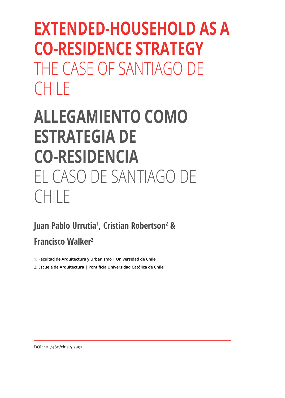# **EXTENDED-HOUSEHOLD AS A CO-RESIDENCE STRATEGY** THE CASE OF SANTIAGO DE CHILE

# **ALLEGAMIENTO COMO ESTRATEGIA DE CO-RESIDENCIA** EL CASO DE SANTIAGO DE CHILE

## **Juan Pablo Urrutia1 , Cristian Robertson2 & Francisco Walker2**

1. **Facultad de Arquitectura y Urbanismo | Universidad de Chile** 

2. **Escuela de Arquitectura | Pontificia Universidad Católica de Chile**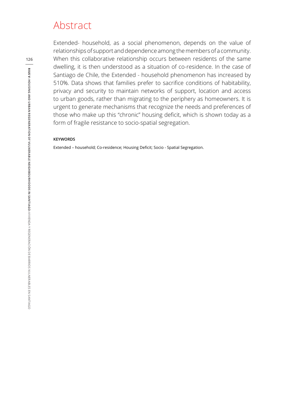### Abstract

Extended- household, as a social phenomenon, depends on the value of relationships of support and dependence among the members of a community. When this collaborative relationship occurs between residents of the same dwelling, it is then understood as a situation of co-residence. In the case of Santiago de Chile, the Extended - household phenomenon has increased by 510%. Data shows that families prefer to sacrifice conditions of habitability, privacy and security to maintain networks of support, location and access to urban goods, rather than migrating to the periphery as homeowners. It is urgent to generate mechanisms that recognize the needs and preferences of those who make up this "chronic" housing deficit, which is shown today as a form of fragile resistance to socio-spatial segregation.

#### **KEYWORDS**

Extended – household; Co-residence; Housing Deficit; Socio - Spatial Segregation.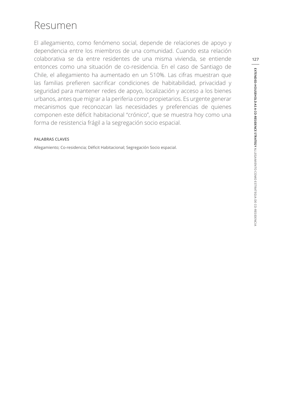### Resumen

El allegamiento, como fenómeno social, depende de relaciones de apoyo y dependencia entre los miembros de una comunidad. Cuando esta relación colaborativa se da entre residentes de una misma vivienda, se entiende entonces como una situación de co-residencia. En el caso de Santiago de Chile, el allegamiento ha aumentado en un 510%. Las cifras muestran que las familias prefieren sacrificar condiciones de habitabilidad, privacidad y seguridad para mantener redes de apoyo, localización y acceso a los bienes urbanos, antes que migrar a la periferia como propietarios. Es urgente generar mecanismos que reconozcan las necesidades y preferencias de quienes componen este déficit habitacional "crónico", que se muestra hoy como una forma de resistencia frágil a la segregación socio espacial.

#### **PALABRAS CLAVES**

Allegamiento; Co-residencia; Déficit Habitacional; Segregación Socio espacial.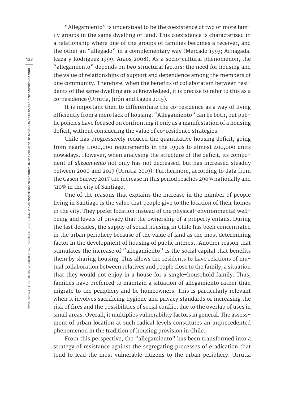"Allegamiento" is understood to be the coexistence of two or more family groups in the same dwelling or land. This coexistence is characterized in a relationship where one of the groups of families becomes a receiver, and the other an "allegado" in a complementary way (Mercado 1993; Arriagada, Icaza y Rodríguez 1999, Araos 2008). As a socio-cultural phenomenon, the "allegamiento" depends on two structural factors: the need for housing and the value of relationships of support and dependence among the members of one community. Therefore, when the benefits of collaboration between residents of the same dwelling are acknowledged, it is precise to refer to this as a co-residence (Urrutia, Jirón and Lagos 2015).

It is important then to differentiate the co-residence as a way of living efficiently from a mere lack of housing. "Allegamiento" can be both, but public policies have focused on confronting it only as a manifestation of a housing deficit, without considering the value of co-residence strategies.

Chile has progressively reduced the quantitative housing deficit, going from nearly 1,000,000 requirements in the 1990s to almost 400,000 units nowadays. However, when analysing the structure of the deficit, its component of *allegamiento* not only has not decreased, but has increased steadily between 2000 and 2017 (Urrutia 2019). Furthermore, according to data from the Casen Survey 2017 the increase in this period reaches 290% nationally and 510% in the city of Santiago.

One of the reasons that explains the increase in the number of people living in Santiago is the value that people give to the location of their homes in the city. They prefer location instead of the physical-environmental wellbeing and levels of privacy that the ownership of a property entails. During the last decades, the supply of social housing in Chile has been concentrated in the urban periphery because of the value of land as the most determining factor in the development of housing of public interest. Another reason that stimulates the increase of "allegamiento" is the social capital that benefits them by sharing housing. This allows the residents to have relations of mutual collaboration between relatives and people close to the family, a situation that they would not enjoy in a house for a single-household family. Thus, families have preferred to maintain a situation of allegamiento rather than migrate to the periphery and be homeowners. This is particularly relevant when it involves sacrificing hygiene and privacy standards or increasing the risk of fires and the possibilities of social conflict due to the overlap of uses in small areas. Overall, it multiplies vulnerability factors in general. The assessment of urban location at such radical levels constitutes an unprecedented phenomenon in the tradition of housing provision in Chile.

From this perspective, the "allegamiento" has been transformed into a strategy of resistance against the segregating processes of eradication that tend to lead the most vulnerable citizens to the urban periphery. Urrutia

**128**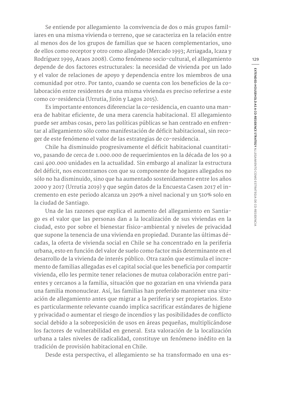Se entiende por allegamiento la convivencia de dos o más grupos familiares en una misma vivienda o terreno, que se caracteriza en la relación entre al menos dos de los grupos de familias que se hacen complementarios, uno de ellos como receptor y otro como allegado (Mercado 1993; Arriagada, Icaza y Rodríguez 1999, Araos 2008). Como fenómeno socio-cultural, el allegamiento depende de dos factores estructurales: la necesidad de vivienda por un lado y el valor de relaciones de apoyo y dependencia entre los miembros de una comunidad por otro. Por tanto, cuando se cuenta con los beneficios de la colaboración entre residentes de una misma vivienda es preciso referirse a este como co-residencia (Urrutia, Jirón y Lagos 2015).

Es importante entonces diferenciar la co-residencia, en cuanto una manera de habitar eficiente, de una mera carencia habitacional. El allegamiento puede ser ambas cosas, pero las políticas públicas se han centrado en enfrentar al allegamiento sólo como manifestación de déficit habitacional, sin recoger de este fenómeno el valor de las estrategias de co-residencia.

Chile ha disminuido progresivamente el déficit habitacional cuantitativo, pasando de cerca de 1.000.000 de requerimientos en la década de los 90 a casi 400.000 unidades en la actualidad. Sin embargo al analizar la estructura del déficit, nos encontramos con que su componente de hogares allegados no sólo no ha disminuido, sino que ha aumentado sostenidamente entre los años 2000 y 2017 (Urrutia 2019) y que según datos de la Encuesta Casen 2017 el incremento en este periodo alcanza un 290% a nivel nacional y un 510% solo en la ciudad de Santiago.

Una de las razones que explica el aumento del allegamiento en Santiago es el valor que las personas dan a la localización de sus viviendas en la ciudad, esto por sobre el bienestar físico-ambiental y niveles de privacidad que supone la tenencia de una vivienda en propiedad. Durante las últimas décadas, la oferta de vivienda social en Chile se ha concentrado en la periferia urbana, esto en función del valor de suelo como factor más determinante en el desarrollo de la vivienda de interés público. Otra razón que estimula el incremento de familias allegadas es el capital social que les beneficia por compartir vivienda, ello les permite tener relaciones de mutua colaboración entre parientes y cercanos a la familia, situación que no gozarian en una vivienda para una familia mononuclear. Así, las familias han preferido mantener una situación de allegamiento antes que migrar a la periferia y ser propietarios. Esto es particularmente relevante cuando implica sacrificar estándares de higiene y privacidad o aumentar el riesgo de incendios y las posibilidades de conflicto social debido a la sobreposición de usos en áreas pequeñas, multiplicándose los factores de vulnerabilidad en general. Esta valoración de la localización urbana a tales niveles de radicalidad, constituye un fenómeno inédito en la tradición de provisión habitacional en Chile.

Desde esta perspectiva, el allegamiento se ha transformado en una es-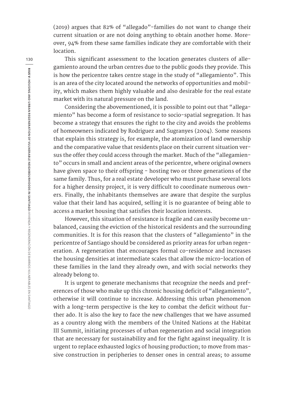(2019) argues that 82% of "allegado"-families do not want to change their current situation or are not doing anything to obtain another home. Moreover, 94% from these same families indicate they are comfortable with their location.

This significant assessment to the location generates clusters of allegamiento around the urban centres due to the public goods they provide. This is how the pericentre takes centre stage in the study of "allegamiento". This is an area of the city located around the networks of opportunities and mobility, which makes them highly valuable and also desirable for the real estate market with its natural pressure on the land.

Considering the abovementioned, it is possible to point out that "allegamiento" has become a form of resistance to socio-spatial segregation. It has become a strategy that ensures the right to the city and avoids the problems of homeowners indicated by Rodriguez and Sugranyes (2004). Some reasons that explain this strategy is, for example, the atomization of land ownership and the comparative value that residents place on their current situation versus the offer they could access through the market. Much of the "allegamiento" occurs in small and ancient areas of the pericentre, where original owners have given space to their offspring - hosting two or three generations of the same family. Thus, for a real estate developer who must purchase several lots for a higher density project, it is very difficult to coordinate numerous owners. Finally, the inhabitants themselves are aware that despite the surplus value that their land has acquired, selling it is no guarantee of being able to access a market housing that satisfies their location interests.

However, this situation of resistance is fragile and can easily become unbalanced, causing the eviction of the historical residents and the surrounding communities. It is for this reason that the clusters of "allegamiento" in the pericentre of Santiago should be considered as priority areas for urban regeneration. A regeneration that encourages formal co-residence and increases the housing densities at intermediate scales that allow the micro-location of these families in the land they already own, and with social networks they already belong to.

It is urgent to generate mechanisms that recognize the needs and preferences of those who make up this chronic housing deficit of "allegamiento", otherwise it will continue to increase. Addressing this urban phenomenon with a long-term perspective is the key to combat the deficit without further ado. It is also the key to face the new challenges that we have assumed as a country along with the members of the United Nations at the Habitat III Summit, initiating processes of urban regeneration and social integration that are necessary for sustainability and for the fight against inequality. It is urgent to replace exhausted logics of housing production; to move from massive construction in peripheries to denser ones in central areas; to assume

**130**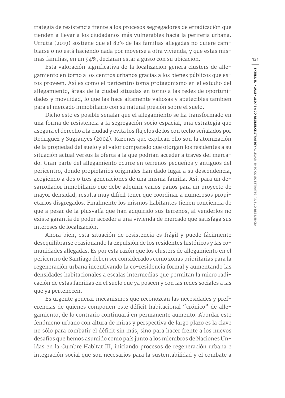trategia de resistencia frente a los procesos segregadores de erradicación que tienden a llevar a los ciudadanos más vulnerables hacia la periferia urbana. Urrutia (2019) sostiene que el 82% de las familias allegadas no quiere cambiarse o no está haciendo nada por moverse a otra vivienda, y que estas mismas familias, en un 94%, declaran estar a gusto con su ubicación.

Esta valoración significativa de la localización genera clusters de allegamiento en torno a los centros urbanos gracias a los bienes públicos que estos proveen. Así es como el pericentro toma protagonismo en el estudio del allegamiento, áreas de la ciudad situadas en torno a las redes de oportunidades y movilidad, lo que las hace altamente valiosas y apetecibles también para el mercado inmobiliario con su natural presión sobre el suelo.

Dicho esto es posible señalar que el allegamiento se ha transformado en una forma de resistencia a la segregación socio espacial, una estrategia que asegura el derecho a la ciudad y evita los flajelos de los con techo señalados por Rodriguez y Sugranyes (2004). Razones que explican ello son la atomización de la propiedad del suelo y el valor comparado que otorgan los residentes a su situación actual versus la oferta a la que podrían acceder a través del mercado. Gran parte del allegamiento ocurre en terrenos pequeños y antiguos del pericentro, donde propietarios originales han dado lugar a su descendencia, acogiendo a dos o tres generaciones de una misma familia. Así, para un desarrollador inmobiliario que debe adquirir varios paños para un proyecto de mayor densidad, resulta muy difícil tener que coordinar a numerosos propietarios disgregados. Finalmente los mismos habitantes tienen conciencia de que a pesar de la plusvalía que han adquirido sus terrenos, al venderlos no existe garantía de poder acceder a una vivienda de mercado que satisfaga sus intereses de localización.

Ahora bien, esta situación de resistencia es frágil y puede fácilmente desequilibrarse ocasionando la expulsión de los residentes históricos y las comunidades allegadas. Es por esta razón que los clusters de allegamiento en el pericentro de Santiago deben ser considerados como zonas prioritarias para la regeneración urbana incentivando la co-residencia formal y aumentando las densidades habitacionales a escalas intermedias que permitan la micro radicación de estas familias en el suelo que ya poseen y con las redes sociales a las que ya pertenecen.

Es urgente generar mecanismos que reconozcan las necesidades y preferencias de quienes componen este déficit habitacional "crónico" de allegamiento, de lo contrario continuará en permanente aumento. Abordar este fenómeno urbano con altura de miras y perspectiva de largo plazo es la clave no sólo para combatir el déficit sin más, sino para hacer frente a los nuevos desafíos que hemos asumido como país junto a los miembros de Naciones Unidas en la Cumbre Habitat III, iniciando procesos de regeneración urbana e integración social que son necesarios para la sustentabilidad y el combate a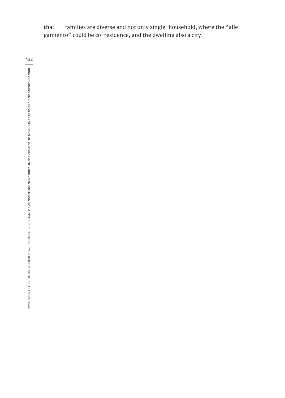that families are diverse and not only single-household, where the "allegamiento" could be co-residence, and the dwelling also a city.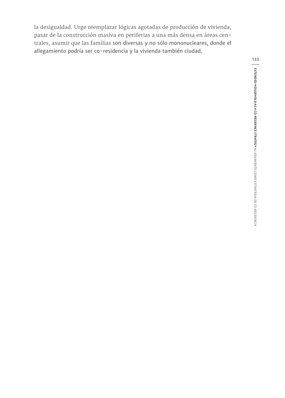la desigualdad. Urge reemplazar lógicas agotadas de producción de vivienda, pasar de la construcción masiva en periferias a una más densa en áreas centrales, asumir que las familias son diversas y no sólo mononucleares, donde el allegamiento podría ser co-residencia y la vivienda también ciudad.